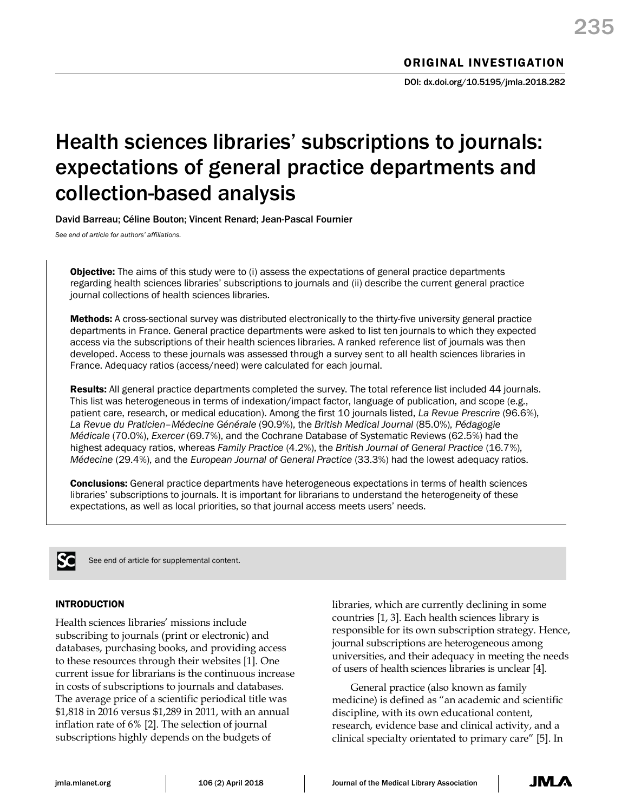# Health sciences libraries' subscriptions to journals: expectations of general practice departments and collection-based analysis

David Barreau; Céline Bouton; Vincent Renard; Jean-Pascal Fournier

*See end of article for authors' affiliations.*

**Objective:** The aims of this study were to (i) assess the expectations of general practice departments regarding health sciences libraries' subscriptions to journals and (ii) describe the current general practice journal collections of health sciences libraries.

Methods: A cross-sectional survey was distributed electronically to the thirty-five university general practice departments in France. General practice departments were asked to list ten journals to which they expected access via the subscriptions of their health sciences libraries. A ranked reference list of journals was then developed. Access to these journals was assessed through a survey sent to all health sciences libraries in France. Adequacy ratios (access/need) were calculated for each journal.

Results: All general practice departments completed the survey. The total reference list included 44 journals. This list was heterogeneous in terms of indexation/impact factor, language of publication, and scope (e.g., patient care, research, or medical education). Among the first 10 journals listed, *La Revue Prescrire* (96.6%), *La Revue du Praticien–Médecine Générale* (90.9%), the *British Medical Journal* (85.0%), *Pédagogie Médicale* (70.0%), *Exercer* (69.7%), and the Cochrane Database of Systematic Reviews (62.5%) had the highest adequacy ratios, whereas *Family Practice* (4.2%), the *British Journal of General Practice* (16.7%), *Médecine* (29.4%), and the *European Journal of General Practice* (33.3%) had the lowest adequacy ratios.

**Conclusions:** General practice departments have heterogeneous expectations in terms of health sciences libraries' subscriptions to journals. It is important for librarians to understand the heterogeneity of these expectations, as well as local priorities, so that journal access meets users' needs.



See end of article for supplemental content.

## INTRODUCTION

Health sciences libraries' missions include subscribing to journals (print or electronic) and databases, purchasing books, and providing access to these resources through their websites [1]. One current issue for librarians is the continuous increase in costs of subscriptions to journals and databases. The average price of a scientific periodical title was \$1,818 in 2016 versus \$1,289 in 2011, with an annual inflation rate of 6% [2]. The selection of journal subscriptions highly depends on the budgets of

libraries, which are currently declining in some countries [1, 3]. Each health sciences library is responsible for its own subscription strategy. Hence, journal subscriptions are heterogeneous among universities, and their adequacy in meeting the needs of users of health sciences libraries is unclear [4].

General practice (also known as family medicine) is defined as "an academic and scientific discipline, with its own educational content, research, evidence base and clinical activity, and a clinical specialty orientated to primary care" [5]. In

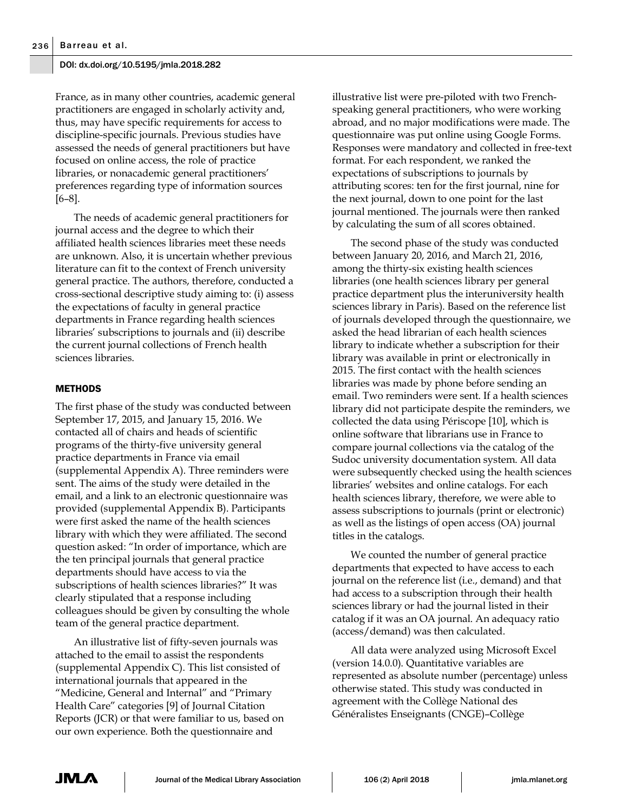France, as in many other countries, academic general practitioners are engaged in scholarly activity and, thus, may have specific requirements for access to discipline-specific journals. Previous studies have assessed the needs of general practitioners but have focused on online access, the role of practice libraries, or nonacademic general practitioners' preferences regarding type of information sources [6–8].

The needs of academic general practitioners for journal access and the degree to which their affiliated health sciences libraries meet these needs are unknown. Also, it is uncertain whether previous literature can fit to the context of French university general practice. The authors, therefore, conducted a cross-sectional descriptive study aiming to: (i) assess the expectations of faculty in general practice departments in France regarding health sciences libraries' subscriptions to journals and (ii) describe the current journal collections of French health sciences libraries.

## METHODS

The first phase of the study was conducted between September 17, 2015, and January 15, 2016. We contacted all of chairs and heads of scientific programs of the thirty-five university general practice departments in France via email (supplemental Appendix A). Three reminders were sent. The aims of the study were detailed in the email, and a link to an electronic questionnaire was provided (supplemental Appendix B). Participants were first asked the name of the health sciences library with which they were affiliated. The second question asked: "In order of importance, which are the ten principal journals that general practice departments should have access to via the subscriptions of health sciences libraries?" It was clearly stipulated that a response including colleagues should be given by consulting the whole team of the general practice department.

An illustrative list of fifty-seven journals was attached to the email to assist the respondents (supplemental Appendix C). This list consisted of international journals that appeared in the "Medicine, General and Internal" and "Primary Health Care" categories [9] of Journal Citation Reports (JCR) or that were familiar to us, based on our own experience. Both the questionnaire and

illustrative list were pre-piloted with two Frenchspeaking general practitioners, who were working abroad, and no major modifications were made. The questionnaire was put online using Google Forms. Responses were mandatory and collected in free-text format. For each respondent, we ranked the expectations of subscriptions to journals by attributing scores: ten for the first journal, nine for the next journal, down to one point for the last journal mentioned. The journals were then ranked by calculating the sum of all scores obtained.

The second phase of the study was conducted between January 20, 2016, and March 21, 2016, among the thirty-six existing health sciences libraries (one health sciences library per general practice department plus the interuniversity health sciences library in Paris). Based on the reference list of journals developed through the questionnaire, we asked the head librarian of each health sciences library to indicate whether a subscription for their library was available in print or electronically in 2015. The first contact with the health sciences libraries was made by phone before sending an email. Two reminders were sent. If a health sciences library did not participate despite the reminders, we collected the data using Périscope [10], which is online software that librarians use in France to compare journal collections via the catalog of the Sudoc university documentation system. All data were subsequently checked using the health sciences libraries' websites and online catalogs. For each health sciences library, therefore, we were able to assess subscriptions to journals (print or electronic) as well as the listings of open access (OA) journal titles in the catalogs.

We counted the number of general practice departments that expected to have access to each journal on the reference list (i.e., demand) and that had access to a subscription through their health sciences library or had the journal listed in their catalog if it was an OA journal. An adequacy ratio (access/demand) was then calculated.

All data were analyzed using Microsoft Excel (version 14.0.0). Quantitative variables are represented as absolute number (percentage) unless otherwise stated. This study was conducted in agreement with the Collège National des Généralistes Enseignants (CNGE)–Collège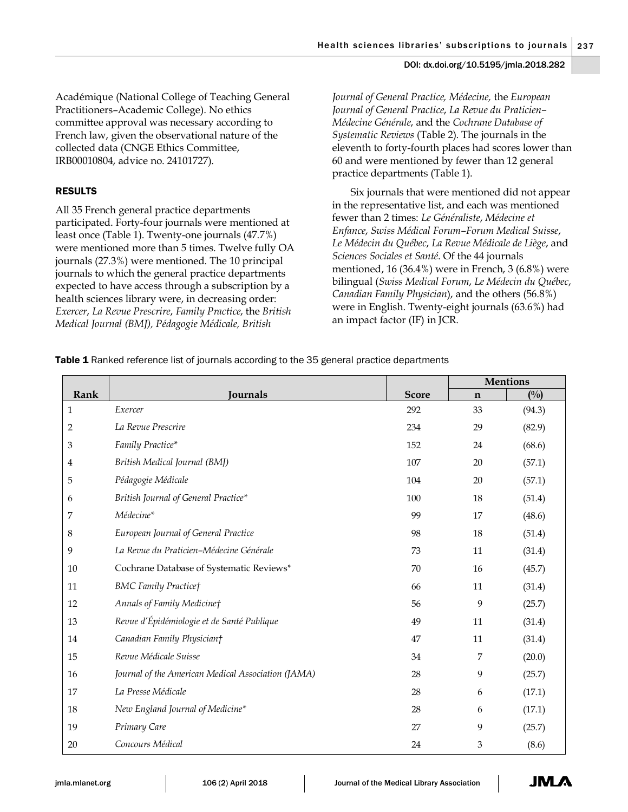Académique (National College of Teaching General Practitioners–Academic College). No ethics committee approval was necessary according to French law, given the observational nature of the collected data (CNGE Ethics Committee, IRB00010804, advice no. 24101727).

# RESULTS

All 35 French general practice departments participated. Forty-four journals were mentioned at least once (Table 1). Twenty-one journals (47.7%) were mentioned more than 5 times. Twelve fully OA journals (27.3%) were mentioned. The 10 principal journals to which the general practice departments expected to have access through a subscription by a health sciences library were, in decreasing order: *Exercer*, *La Revue Prescrire*, *Family Practice*, the *British Medical Journal (BMJ), Pédagogie Médicale, British* 

*Journal of General Practice, Médecine,* the *European Journal of General Practice*, *La Revue du Praticien– Médecine Générale*, and the *Cochrane Database of Systematic Reviews* (Table 2). The journals in the eleventh to forty-fourth places had scores lower than 60 and were mentioned by fewer than 12 general practice departments (Table 1).

Six journals that were mentioned did not appear in the representative list, and each was mentioned fewer than 2 times: *Le Généraliste*, *Médecine et Enfance*, *Swiss Médical Forum–Forum Medical Suisse*, *Le Médecin du Québec*, *La Revue Médicale de Liège*, and *Sciences Sociales et Santé*. Of the 44 journals mentioned, 16 (36.4%) were in French, 3 (6.8%) were bilingual (*Swiss Medical Forum*, *Le Médecin du Québec*, *Canadian Family Physician*), and the others (56.8%) were in English. Twenty-eight journals (63.6%) had an impact factor (IF) in JCR.

Table 1 Ranked reference list of journals according to the 35 general practice departments

|                |                                                    |              | <b>Mentions</b> |        |
|----------------|----------------------------------------------------|--------------|-----------------|--------|
| Rank           | <b>Journals</b>                                    | <b>Score</b> | $\mathbf n$     | (0/0)  |
| 1              | Exercer                                            | 292          | 33              | (94.3) |
| $\overline{2}$ | La Revue Prescrire                                 | 234          | 29              | (82.9) |
| 3              | Family Practice*                                   | 152          | 24              | (68.6) |
| 4              | British Medical Journal (BMJ)                      | 107          | 20              | (57.1) |
| 5              | Pédagogie Médicale                                 | 104          | 20              | (57.1) |
| 6              | British Journal of General Practice*               | 100          | 18              | (51.4) |
| 7              | Médecine*                                          | 99           | 17              | (48.6) |
| 8              | European Journal of General Practice               | 98           | 18              | (51.4) |
| 9              | La Revue du Praticien-Médecine Générale            | 73           | 11              | (31.4) |
| 10             | Cochrane Database of Systematic Reviews*           | 70           | 16              | (45.7) |
| 11             | <b>BMC Family Practice†</b>                        | 66           | 11              | (31.4) |
| 12             | Annals of Family Medicinet                         | 56           | 9               | (25.7) |
| 13             | Revue d'Épidémiologie et de Santé Publique         | 49           | 11              | (31.4) |
| 14             | Canadian Family Physician†                         | 47           | 11              | (31.4) |
| 15             | Revue Médicale Suisse                              | 34           | 7               | (20.0) |
| 16             | Journal of the American Medical Association (JAMA) | 28           | 9               | (25.7) |
| 17             | La Presse Médicale                                 | 28           | 6               | (17.1) |
| 18             | New England Journal of Medicine*                   | 28           | 6               | (17.1) |
| 19             | Primary Care                                       | 27           | 9               | (25.7) |
| 20             | Concours Médical                                   | 24           | 3               | (8.6)  |

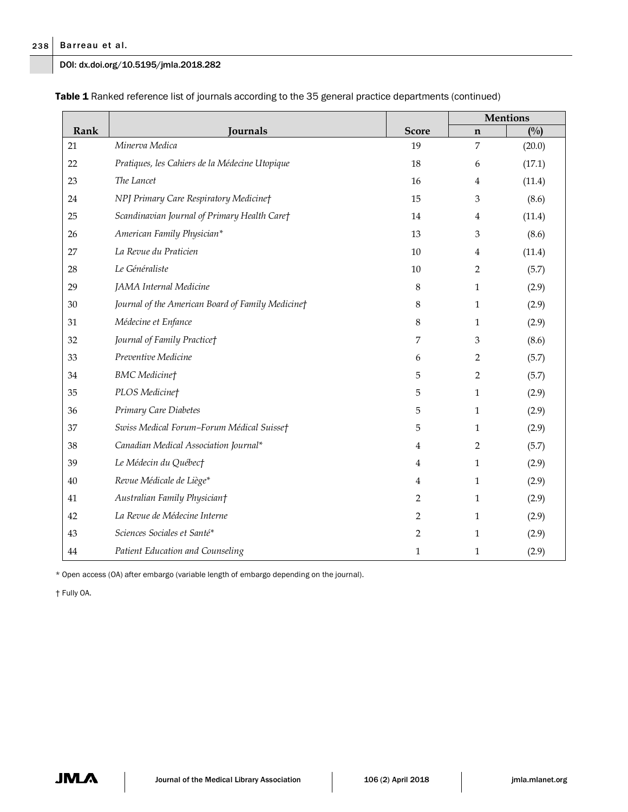# Barreau et al.

DOI: dx.doi.org/10.5195/jmla.2018.282

|        |                                                   |                | <b>Mentions</b>  |        |  |
|--------|---------------------------------------------------|----------------|------------------|--------|--|
| Rank   | Journals                                          | <b>Score</b>   | $\mathbf n$      | (0/0)  |  |
| 21     | Minerva Medica                                    | 19             | $\boldsymbol{7}$ | (20.0) |  |
| 22     | Pratiques, les Cahiers de la Médecine Utopique    | 18             | 6                | (17.1) |  |
| 23     | The Lancet                                        | 16             | $\overline{4}$   | (11.4) |  |
| 24     | NPJ Primary Care Respiratory Medicine†            | 15             | 3                | (8.6)  |  |
| 25     | Scandinavian Journal of Primary Health Care†      | 14             | $\overline{4}$   | (11.4) |  |
| 26     | American Family Physician*                        | 13             | 3                | (8.6)  |  |
| 27     | La Revue du Praticien                             | $10\,$         | $\overline{4}$   | (11.4) |  |
| 28     | Le Généraliste                                    | 10             | 2                | (5.7)  |  |
| 29     | JAMA Internal Medicine                            | 8              | $\mathbf{1}$     | (2.9)  |  |
| 30     | Journal of the American Board of Family Medicine† | 8              | $\mathbf{1}$     | (2.9)  |  |
| 31     | Médecine et Enfance                               | 8              | $\mathbf{1}$     | (2.9)  |  |
| 32     | Journal of Family Practice†                       | 7              | 3                | (8.6)  |  |
| 33     | Preventive Medicine                               | 6              | 2                | (5.7)  |  |
| 34     | <b>BMC</b> Medicinet                              | 5              | $\overline{2}$   | (5.7)  |  |
| 35     | PLOS Medicinet                                    | 5              | $\mathbf{1}$     | (2.9)  |  |
| 36     | Primary Care Diabetes                             | 5              | $\mathbf{1}$     | (2.9)  |  |
| 37     | Swiss Medical Forum-Forum Médical Suisse†         | 5              | $\mathbf{1}$     | (2.9)  |  |
| 38     | Canadian Medical Association Journal*             | 4              | 2                | (5.7)  |  |
| 39     | Le Médecin du Québec†                             | $\overline{4}$ | $\mathbf{1}$     | (2.9)  |  |
| 40     | Revue Médicale de Liège*                          | $\overline{4}$ | $\mathbf{1}$     | (2.9)  |  |
| 41     | Australian Family Physician†                      | $\overline{2}$ | $\mathbf{1}$     | (2.9)  |  |
| 42     | La Revue de Médecine Interne                      | 2              | $\mathbf{1}$     | (2.9)  |  |
| $43\,$ | Sciences Sociales et Santé*                       | $\overline{2}$ | $\mathbf{1}$     | (2.9)  |  |
| 44     | Patient Education and Counseling                  | $\mathbf{1}$   | $\mathbf{1}$     | (2.9)  |  |

Table 1 Ranked reference list of journals according to the 35 general practice departments (continued)

\* Open access (OA) after embargo (variable length of embargo depending on the journal).

† Fully OA.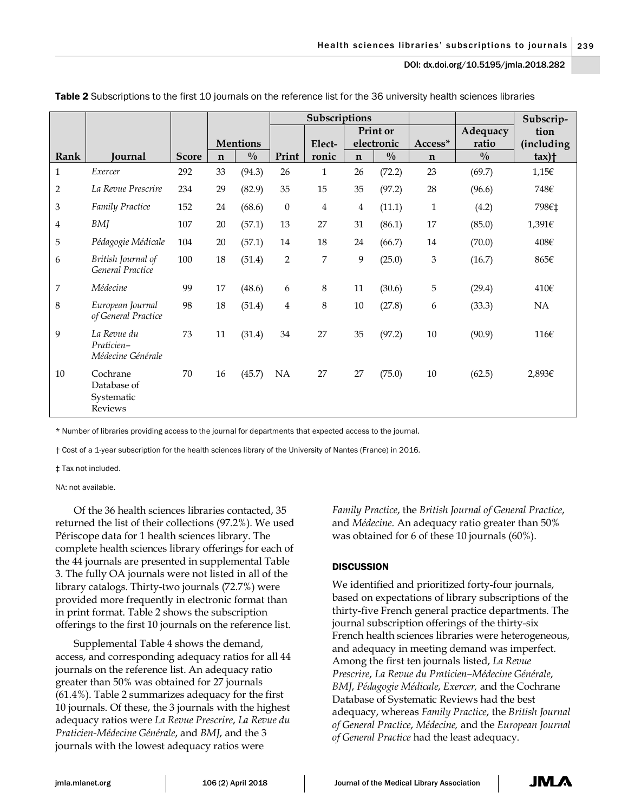|                         |                                                         |              |             |                 | Subscriptions    |              |             |               |                           | Subscrip-     |                          |
|-------------------------|---------------------------------------------------------|--------------|-------------|-----------------|------------------|--------------|-------------|---------------|---------------------------|---------------|--------------------------|
|                         |                                                         |              |             |                 |                  | Print or     |             |               | Adequacy                  | tion          |                          |
|                         |                                                         |              |             | <b>Mentions</b> |                  | Elect-       |             | electronic    | Access*                   | ratio         | (including               |
| Rank                    | Journal                                                 | <b>Score</b> | $\mathbf n$ | $\frac{0}{0}$   | Print            | ronic        | $\mathbf n$ | $\frac{0}{0}$ | $\mathbf n$               | $\frac{0}{0}$ | $\text{tax}$ ) $\dagger$ |
| $\mathbf{1}$            | Exercer                                                 | 292          | 33          | (94.3)          | 26               | $\mathbf{1}$ | 26          | (72.2)        | 23                        | (69.7)        | 1,156                    |
| $\overline{c}$          | La Revue Prescrire                                      | 234          | 29          | (82.9)          | 35               | 15           | 35          | (97.2)        | 28                        | (96.6)        | 748€                     |
| 3                       | Family Practice                                         | 152          | 24          | (68.6)          | $\boldsymbol{0}$ | 4            | 4           | (11.1)        | $\mathbf{1}$              | (4.2)         | 798€‡                    |
| $\overline{\mathbf{4}}$ | <b>BMJ</b>                                              | 107          | 20          | (57.1)          | 13               | 27           | 31          | (86.1)        | 17                        | (85.0)        | 1,391€                   |
| 5                       | Pédagogie Médicale                                      | 104          | 20          | (57.1)          | 14               | 18           | 24          | (66.7)        | 14                        | (70.0)        | 408€                     |
| 6                       | British Journal of<br>General Practice                  | 100          | 18          | (51.4)          | $\overline{2}$   | 7            | 9           | (25.0)        | $\ensuremath{\mathbf{3}}$ | (16.7)        | 865€                     |
| 7                       | Médecine                                                | 99           | 17          | (48.6)          | 6                | 8            | 11          | (30.6)        | 5                         | (29.4)        | 410€                     |
| 8                       | European Journal<br>of General Practice                 | 98           | 18          | (51.4)          | 4                | 8            | 10          | (27.8)        | 6                         | (33.3)        | NA                       |
| 9                       | La Revue du<br>Praticien-<br>Médecine Générale          | 73           | 11          | (31.4)          | 34               | 27           | 35          | (97.2)        | 10                        | (90.9)        | 116€                     |
| 10                      | Cochrane<br>Database of<br>Systematic<br><b>Reviews</b> | 70           | 16          | (45.7)          | <b>NA</b>        | 27           | 27          | (75.0)        | 10                        | (62.5)        | 2,893€                   |

Table 2 Subscriptions to the first 10 journals on the reference list for the 36 university health sciences libraries

\* Number of libraries providing access to the journal for departments that expected access to the journal.

† Cost of a 1-year subscription for the health sciences library of the University of Nantes (France) in 2016.

‡ Tax not included.

NA: not available.

Of the 36 health sciences libraries contacted, 35 returned the list of their collections (97.2%). We used Périscope data for 1 health sciences library. The complete health sciences library offerings for each of the 44 journals are presented in supplemental Table 3. The fully OA journals were not listed in all of the library catalogs. Thirty-two journals (72.7%) were provided more frequently in electronic format than in print format. Table 2 shows the subscription offerings to the first 10 journals on the reference list.

Supplemental Table 4 shows the demand, access, and corresponding adequacy ratios for all 44 journals on the reference list. An adequacy ratio greater than 50% was obtained for 27 journals (61.4%). Table 2 summarizes adequacy for the first 10 journals. Of these, the 3 journals with the highest adequacy ratios were *La Revue Prescrire*, *La Revue du Praticien-Médecine Générale*, and *BMJ*, and the 3 journals with the lowest adequacy ratios were

*Family Practice*, the *British Journal of General Practice*, and *Médecine*. An adequacy ratio greater than 50% was obtained for 6 of these 10 journals (60%).

## **DISCUSSION**

We identified and prioritized forty-four journals, based on expectations of library subscriptions of the thirty-five French general practice departments. The journal subscription offerings of the thirty-six French health sciences libraries were heterogeneous, and adequacy in meeting demand was imperfect. Among the first ten journals listed, *La Revue Prescrire*, *La Revue du Praticien–Médecine Générale*, *BMJ*, *Pédagogie Médicale*, *Exercer,* and the Cochrane Database of Systematic Reviews had the best adequacy, whereas *Family Practice*, the *British Journal of General Practice*, *Médecine,* and the *European Journal of General Practice* had the least adequacy.

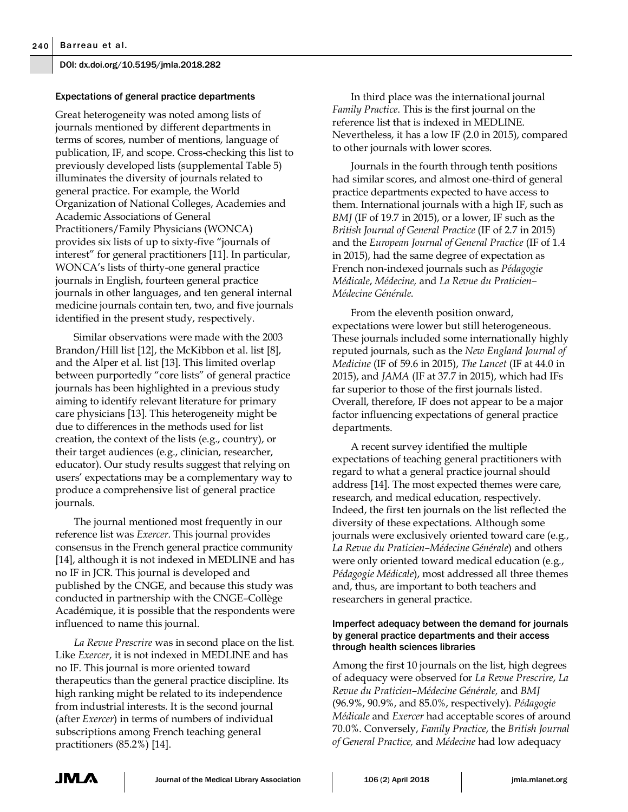## Expectations of general practice departments

Great heterogeneity was noted among lists of journals mentioned by different departments in terms of scores, number of mentions, language of publication, IF, and scope. Cross-checking this list to previously developed lists (supplemental Table 5) illuminates the diversity of journals related to general practice. For example, the World Organization of National Colleges, Academies and Academic Associations of General Practitioners/Family Physicians (WONCA) provides six lists of up to sixty-five "journals of interest" for general practitioners [11]. In particular, WONCA's lists of thirty-one general practice journals in English, fourteen general practice journals in other languages, and ten general internal medicine journals contain ten, two, and five journals identified in the present study, respectively.

Similar observations were made with the 2003 Brandon/Hill list [12], the McKibbon et al. list [8], and the Alper et al. list [13]. This limited overlap between purportedly "core lists" of general practice journals has been highlighted in a previous study aiming to identify relevant literature for primary care physicians [13]. This heterogeneity might be due to differences in the methods used for list creation, the context of the lists (e.g., country), or their target audiences (e.g., clinician, researcher, educator). Our study results suggest that relying on users' expectations may be a complementary way to produce a comprehensive list of general practice journals.

The journal mentioned most frequently in our reference list was *Exercer*. This journal provides consensus in the French general practice community [14], although it is not indexed in MEDLINE and has no IF in JCR. This journal is developed and published by the CNGE, and because this study was conducted in partnership with the CNGE–Collège Académique, it is possible that the respondents were influenced to name this journal.

*La Revue Prescrire* was in second place on the list. Like *Exercer*, it is not indexed in MEDLINE and has no IF. This journal is more oriented toward therapeutics than the general practice discipline. Its high ranking might be related to its independence from industrial interests. It is the second journal (after *Exercer*) in terms of numbers of individual subscriptions among French teaching general practitioners (85.2%) [14].

In third place was the international journal *Family Practice*. This is the first journal on the reference list that is indexed in MEDLINE. Nevertheless, it has a low IF (2.0 in 2015), compared to other journals with lower scores.

Journals in the fourth through tenth positions had similar scores, and almost one-third of general practice departments expected to have access to them. International journals with a high IF, such as *BMJ* (IF of 19.7 in 2015), or a lower, IF such as the *British Journal of General Practice* (IF of 2.7 in 2015) and the *European Journal of General Practice* (IF of 1.4 in 2015), had the same degree of expectation as French non-indexed journals such as *Pédagogie Médicale*, *Médecine,* and *La Revue du Praticien– Médecine Générale*.

From the eleventh position onward, expectations were lower but still heterogeneous. These journals included some internationally highly reputed journals, such as the *New England Journal of Medicine* (IF of 59.6 in 2015), *The Lancet* (IF at 44.0 in 2015), and *JAMA* (IF at 37.7 in 2015), which had IFs far superior to those of the first journals listed. Overall, therefore, IF does not appear to be a major factor influencing expectations of general practice departments.

A recent survey identified the multiple expectations of teaching general practitioners with regard to what a general practice journal should address [14]. The most expected themes were care, research, and medical education, respectively. Indeed, the first ten journals on the list reflected the diversity of these expectations. Although some journals were exclusively oriented toward care (e.g., *La Revue du Praticien–Médecine Générale*) and others were only oriented toward medical education (e.g., *Pédagogie Médicale*), most addressed all three themes and, thus, are important to both teachers and researchers in general practice.

## Imperfect adequacy between the demand for journals by general practice departments and their access through health sciences libraries

Among the first 10 journals on the list, high degrees of adequacy were observed for *La Revue Prescrire*, *La Revue du Praticien–Médecine Générale,* and *BMJ*  (96.9%, 90.9%, and 85.0%, respectively). *Pédagogie Médicale* and *Exercer* had acceptable scores of around 70.0%. Conversely, *Family Practice*, the *British Journal of General Practice,* and *Médecine* had low adequacy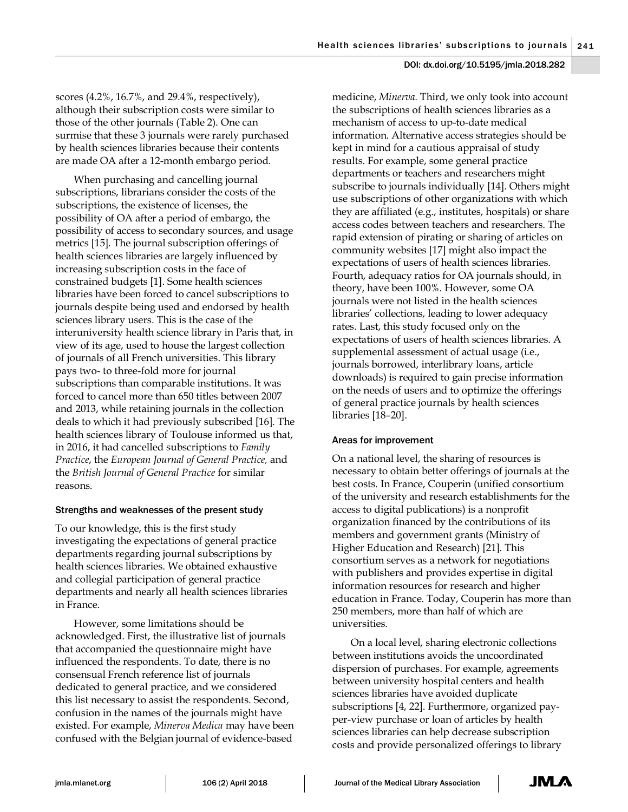scores (4.2%, 16.7%, and 29.4%, respectively), although their subscription costs were similar to those of the other journals (Table 2). One can surmise that these 3 journals were rarely purchased by health sciences libraries because their contents are made OA after a 12-month embargo period.

When purchasing and cancelling journal subscriptions, librarians consider the costs of the subscriptions, the existence of licenses, the possibility of OA after a period of embargo, the possibility of access to secondary sources, and usage metrics [15]. The journal subscription offerings of health sciences libraries are largely influenced by increasing subscription costs in the face of constrained budgets [1]. Some health sciences libraries have been forced to cancel subscriptions to journals despite being used and endorsed by health sciences library users. This is the case of the interuniversity health science library in Paris that, in view of its age, used to house the largest collection of journals of all French universities. This library pays two- to three-fold more for journal subscriptions than comparable institutions. It was forced to cancel more than 650 titles between 2007 and 2013, while retaining journals in the collection deals to which it had previously subscribed [16]. The health sciences library of Toulouse informed us that, in 2016, it had cancelled subscriptions to *Family Practice*, the *European Journal of General Practice,* and the *British Journal of General Practice* for similar reasons.

## Strengths and weaknesses of the present study

To our knowledge, this is the first study investigating the expectations of general practice departments regarding journal subscriptions by health sciences libraries. We obtained exhaustive and collegial participation of general practice departments and nearly all health sciences libraries in France.

However, some limitations should be acknowledged. First, the illustrative list of journals that accompanied the questionnaire might have influenced the respondents. To date, there is no consensual French reference list of journals dedicated to general practice, and we considered this list necessary to assist the respondents. Second, confusion in the names of the journals might have existed. For example, *Minerva Medica* may have been confused with the Belgian journal of evidence-based

medicine, *Minerva*. Third, we only took into account the subscriptions of health sciences libraries as a mechanism of access to up-to-date medical information. Alternative access strategies should be kept in mind for a cautious appraisal of study results. For example, some general practice departments or teachers and researchers might subscribe to journals individually [14]. Others might use subscriptions of other organizations with which they are affiliated (e.g., institutes, hospitals) or share access codes between teachers and researchers. The rapid extension of pirating or sharing of articles on community websites [17] might also impact the expectations of users of health sciences libraries. Fourth, adequacy ratios for OA journals should, in theory, have been 100%. However, some OA journals were not listed in the health sciences libraries' collections, leading to lower adequacy rates. Last, this study focused only on the expectations of users of health sciences libraries. A supplemental assessment of actual usage (i.e., journals borrowed, interlibrary loans, article downloads) is required to gain precise information on the needs of users and to optimize the offerings of general practice journals by health sciences libraries [18–20].

## Areas for improvement

On a national level, the sharing of resources is necessary to obtain better offerings of journals at the best costs. In France, Couperin (unified consortium of the university and research establishments for the access to digital publications) is a nonprofit organization financed by the contributions of its members and government grants (Ministry of Higher Education and Research) [21]. This consortium serves as a network for negotiations with publishers and provides expertise in digital information resources for research and higher education in France. Today, Couperin has more than 250 members, more than half of which are universities.

On a local level, sharing electronic collections between institutions avoids the uncoordinated dispersion of purchases. For example, agreements between university hospital centers and health sciences libraries have avoided duplicate subscriptions [4, 22]. Furthermore, organized payper-view purchase or loan of articles by health sciences libraries can help decrease subscription costs and provide personalized offerings to library

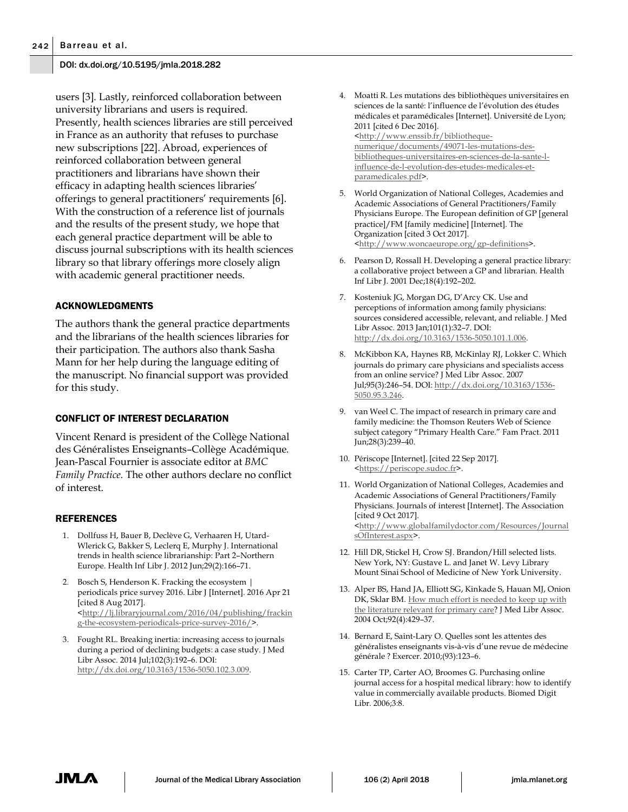users [3]. Lastly, reinforced collaboration between university librarians and users is required. Presently, health sciences libraries are still perceived in France as an authority that refuses to purchase new subscriptions [22]. Abroad, experiences of reinforced collaboration between general practitioners and librarians have shown their efficacy in adapting health sciences libraries' offerings to general practitioners' requirements [6]. With the construction of a reference list of journals and the results of the present study, we hope that each general practice department will be able to discuss journal subscriptions with its health sciences library so that library offerings more closely align with academic general practitioner needs.

#### ACKNOWLEDGMENTS

The authors thank the general practice departments and the librarians of the health sciences libraries for their participation. The authors also thank Sasha Mann for her help during the language editing of the manuscript. No financial support was provided for this study.

### CONFLICT OF INTEREST DECLARATION

Vincent Renard is president of the Collège National des Généralistes Enseignants–Collège Académique*.* Jean-Pascal Fournier is associate editor at *BMC Family Practice.* The other authors declare no conflict of interest.

#### REFERENCES

- 1. Dollfuss H, Bauer B, Declève G, Verhaaren H, Utard-Wlerick G, Bakker S, Leclerq E, Murphy J. International trends in health science librarianship: Part 2–Northern Europe. Health Inf Libr J. 2012 Jun;29(2):166–71.
- 2. Bosch S, Henderson K. Fracking the ecosystem | periodicals price survey 2016. Libr J [Internet]. 2016 Apr 21 [cited 8 Aug 2017]. [<http://lj.libraryjournal.com/2016/04/publishing/frackin](http://lj.libraryjournal.com/2016/04/publishing/fracking-the-ecosystem-periodicals-price-survey-2016/) [g-the-ecosystem-periodicals-price-survey-2016/>](http://lj.libraryjournal.com/2016/04/publishing/fracking-the-ecosystem-periodicals-price-survey-2016/).
- 3. Fought RL. Breaking inertia: increasing access to journals during a period of declining budgets: a case study. J Med Libr Assoc. 2014 Jul;102(3):192–6. DOI: [http://dx.doi.org/10.3163/1536-5050.102.3.009.](http://dx.doi.org/10.3163/1536-5050.102.3.009)

4. Moatti R. Les mutations des bibliothèques universitaires en sciences de la santé: l'influence de l'évolution des études médicales et paramédicales [Internet]. Université de Lyon; 2011 [cited 6 Dec 2016]. [<http://www.enssib.fr/bibliotheque-](http://www.enssib.fr/bibliotheque-numerique/documents/49071-les-mutations-des-bibliotheques-universitaires-en-sciences-de-la-sante-l-influence-de-l-evolution-des-etudes-medicales-et-paramedicales.pdf)

[numerique/documents/49071-les-mutations-des](http://www.enssib.fr/bibliotheque-numerique/documents/49071-les-mutations-des-bibliotheques-universitaires-en-sciences-de-la-sante-l-influence-de-l-evolution-des-etudes-medicales-et-paramedicales.pdf)[bibliotheques-universitaires-en-sciences-de-la-sante-l](http://www.enssib.fr/bibliotheque-numerique/documents/49071-les-mutations-des-bibliotheques-universitaires-en-sciences-de-la-sante-l-influence-de-l-evolution-des-etudes-medicales-et-paramedicales.pdf)[influence-de-l-evolution-des-etudes-medicales-et](http://www.enssib.fr/bibliotheque-numerique/documents/49071-les-mutations-des-bibliotheques-universitaires-en-sciences-de-la-sante-l-influence-de-l-evolution-des-etudes-medicales-et-paramedicales.pdf)[paramedicales.pdf>](http://www.enssib.fr/bibliotheque-numerique/documents/49071-les-mutations-des-bibliotheques-universitaires-en-sciences-de-la-sante-l-influence-de-l-evolution-des-etudes-medicales-et-paramedicales.pdf).

- 5. World Organization of National Colleges, Academies and Academic Associations of General Practitioners/Family Physicians Europe. The European definition of GP [general practice]/FM [family medicine] [Internet]. The Organization [cited 3 Oct 2017]. [<http://www.woncaeurope.org/gp-definitions>](http://www.woncaeurope.org/gp-definitions).
- 6. Pearson D, Rossall H. Developing a general practice library: a collaborative project between a GP and librarian. Health Inf Libr J. 2001 Dec;18(4):192–202.
- 7. Kosteniuk JG, Morgan DG, D'Arcy CK. Use and perceptions of information among family physicians: sources considered accessible, relevant, and reliable. J Med Libr Assoc. 2013 Jan;101(1):32–7. DOI: [http://dx.doi.org/10.3163/1536-5050.101.1.006.](http://dx.doi.org/10.3163/1536-5050.101.1.006)
- 8. McKibbon KA, Haynes RB, McKinlay RJ, Lokker C. Which journals do primary care physicians and specialists access from an online service? J Med Libr Assoc. 2007 Jul;95(3):246–54. DOI: [http://dx.doi.org/10.3163/1536-](http://dx.doi.org/10.3163/1536-5050.95.3.246) [5050.95.3.246.](http://dx.doi.org/10.3163/1536-5050.95.3.246)
- 9. van Weel C. The impact of research in primary care and family medicine: the Thomson Reuters Web of Science subject category "Primary Health Care." Fam Pract. 2011 Jun;28(3):239–40.
- 10. Périscope [Internet]. [cited 22 Sep 2017]. [<https://periscope.sudoc.fr>](https://periscope.sudoc.fr/).
- 11. World Organization of National Colleges, Academies and Academic Associations of General Practitioners/Family Physicians. Journals of interest [Internet]. The Association [cited 9 Oct 2017]. [<http://www.globalfamilydoctor.com/Resources/Journal](http://www.globalfamilydoctor.com/Resources/JournalsOfInterest.aspx) [sOfInterest.aspx>](http://www.globalfamilydoctor.com/Resources/JournalsOfInterest.aspx).
- 12. Hill DR, Stickel H, Crow SJ. Brandon/Hill selected lists. New York, NY: Gustave L. and Janet W. Levy Library Mount Sinai School of Medicine of New York University.
- 13. Alper BS, Hand JA, Elliott SG, Kinkade S, Hauan MJ, Onion DK, Sklar BM. How much effort is needed to keep up with [the literature relevant for primary care?](https://www.ncbi.nlm.nih.gov/pmc/articles/PMC521514/) J Med Libr Assoc. 2004 Oct;92(4):429–37.
- 14. Bernard E, Saint-Lary O. Quelles sont les attentes des généralistes enseignants vis-à-vis d'une revue de médecine générale ? Exercer. 2010;(93):123–6.
- 15. Carter TP, Carter AO, Broomes G. Purchasing online journal access for a hospital medical library: how to identify value in commercially available products. Biomed Digit Libr. 2006;3:8.